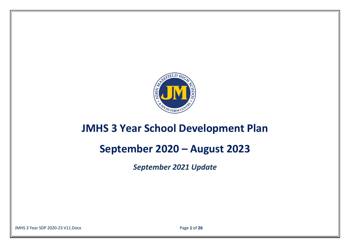

## **JMHS 3 Year School Development Plan**

# **September 2020 – August 2023**

*September 2021 Update*

JMHS 3 Year SDP 2020-23 V11.Docx Page **1** of **26**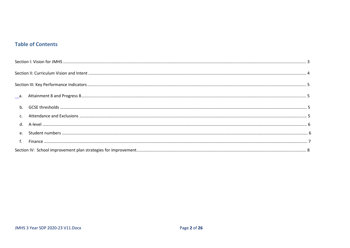## **Table of Contents**

| $h_{\cdot}$ |  |
|-------------|--|
|             |  |
| $d_{\cdot}$ |  |
| $e_{1}$     |  |
|             |  |
|             |  |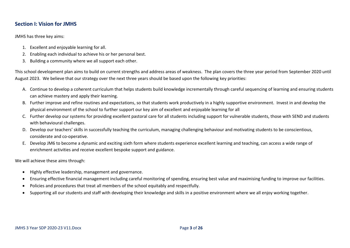## <span id="page-2-0"></span>**Section I: Vision for JMHS**

JMHS has three key aims:

- 1. Excellent and enjoyable learning for all.
- 2. Enabling each individual to achieve his or her personal best.
- 3. Building a community where we all support each other.

This school development plan aims to build on current strengths and address areas of weakness. The plan covers the three year period from September 2020 until August 2023. We believe that our strategy over the next three years should be based upon the following key priorities:

- A. Continue to develop a coherent curriculum that helps students build knowledge incrementally through careful sequencing of learning and ensuring students can achieve mastery and apply their learning.
- B. Further improve and refine routines and expectations, so that students work productively in a highly supportive environment. Invest in and develop the physical environment of the school to further support our key aim of excellent and enjoyable learning for all
- C. Further develop our systems for providing excellent pastoral care for all students including support for vulnerable students, those with SEND and students with behavioural challenges.
- D. Develop our teachers' skills in successfully teaching the curriculum, managing challenging behaviour and motivating students to be conscientious, considerate and co-operative.
- E. Develop JM6 to become a dynamic and exciting sixth form where students experience excellent learning and teaching, can access a wide range of enrichment activities and receive excellent bespoke support and guidance.

We will achieve these aims through:

- Highly effective leadership, management and governance.
- Ensuring effective financial management including careful monitoring of spending, ensuring best value and maximising funding to improve our facilities.
- Policies and procedures that treat all members of the school equitably and respectfully.
- Supporting all our students and staff with developing their knowledge and skills in a positive environment where we all enjoy working together.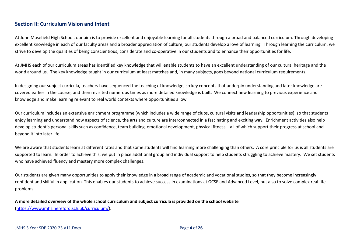## <span id="page-3-0"></span>**Section II: Curriculum Vision and Intent**

At John Masefield High School, our aim is to provide excellent and enjoyable learning for all students through a broad and balanced curriculum. Through developing excellent knowledge in each of our faculty areas and a broader appreciation of culture, our students develop a love of learning. Through learning the curriculum, we strive to develop the qualities of being conscientious, considerate and co-operative in our students and to enhance their opportunities for life.

At JMHS each of our curriculum areas has identified key knowledge that will enable students to have an excellent understanding of our cultural heritage and the world around us. The key knowledge taught in our curriculum at least matches and, in many subjects, goes beyond national curriculum requirements.

In designing our subject curricula, teachers have sequenced the teaching of knowledge, so key concepts that underpin understanding and later knowledge are covered earlier in the course, and then revisited numerous times as more detailed knowledge is built. We connect new learning to previous experience and knowledge and make learning relevant to real world contexts where opportunities allow.

Our curriculum includes an extensive enrichment programme (which includes a wide range of clubs, cultural visits and leadership opportunities), so that students enjoy learning and understand how aspects of science, the arts and culture are interconnected in a fascinating and exciting way. Enrichment activities also help develop student's personal skills such as confidence, team building, emotional development, physical fitness – all of which support their progress at school and beyond it into later life.

We are aware that students learn at different rates and that some students will find learning more challenging than others. A core principle for us is all students are supported to learn. In order to achieve this, we put in place additional group and individual support to help students struggling to achieve mastery. We set students who have achieved fluency and mastery more complex challenges.

Our students are given many opportunities to apply their knowledge in a broad range of academic and vocational studies, so that they become increasingly confident and skilful in application. This enables our students to achieve success in examinations at GCSE and Advanced Level, but also to solve complex real-life problems.

**A more detailed overview of the whole school curriculum and subject curricula is provided on the school website (**[https://www.jmhs.hereford.sch.uk/curriculum/\)](https://www.jmhs.hereford.sch.uk/curriculum/)**.**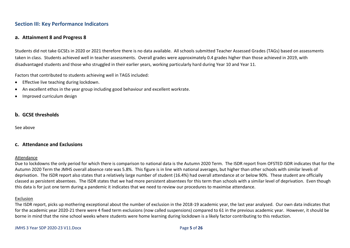## <span id="page-4-0"></span>**Section III: Key Performance Indicators**

## <span id="page-4-1"></span>**a. Attainment 8 and Progress 8**

Students did not take GCSEs in 2020 or 2021 therefore there is no data available. All schools submitted Teacher Assessed Grades (TAGs) based on assessments taken in class. Students achieved well in teacher assessments. Overall grades were approximately 0.4 grades higher than those achieved in 2019, with disadvantaged students and those who struggled in their earlier years, working particularly hard during Year 10 and Year 11.

Factors that contributed to students achieving well in TAGS included:

- Effective live teaching during lockdown.
- An excellent ethos in the year group including good behaviour and excellent workrate.
- Improved curriculum design

## <span id="page-4-2"></span>**b. GCSE thresholds**

See above

## <span id="page-4-3"></span>**c. Attendance and Exclusions**

#### Attendance

Due to lockdowns the only period for which there is comparison to national data is the Autumn 2020 Term. The ISDR report from OFSTED ISDR indicates that for the Autumn 2020 Term the JMHS overall absence rate was 5.8%. This figure is in line with national averages, but higher than other schools with similar levels of deprivation. The ISDR report also states that a relatively large number of student (16.4%) had overall attendance at or below 90%. These student are officially classed as persistent absentees. The ISDR states that we had more persistent absentees for this term than schools with a similar level of deprivation. Even though this data is for just one term during a pandemic it indicates that we need to review our procedures to maximise attendance.

#### Exclusion

The ISDR report, picks up mothering exceptional about the number of exclusion in the 2018-19 academic year, the last year analysed. Our own data indicates that for the academic year 2020-21 there were 4 fixed term exclusions (now called suspensions) compared to 61 in the previous academic year. However, it should be borne in mind that the nine school weeks where students were home learning during lockdown is a likely factor contributing to this reduction.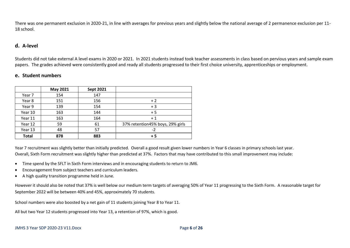There was one permanent exclusion in 2020-21, in line with averages for previous years and slightly below the national average of 2 permanence exclusion per 11- 18 school.

## <span id="page-5-0"></span>**d. A-level**

Students did not take external A level exams in 2020 or 2021. In 2021 students instead took teacher assessments in class based on pervious years and sample exam papers. The grades achieved were consistently good and ready all students progressed to their first choice university, apprenticeships or employment.

## <span id="page-5-1"></span>**e. Student numbers**

|              | May 2021 | <b>Sept 2021</b> |                                  |
|--------------|----------|------------------|----------------------------------|
| Year 7       | 154      | 147              |                                  |
| Year 8       | 151      | 156              | $+2$                             |
| Year 9       | 139      | 154              | $+3$                             |
| Year 10      | 163      | 144              | $+5$                             |
| Year 11      | 163      | 164              | $+1$                             |
| Year 12      | 59       | 61               | 37% retention45% boys, 29% girls |
| Year 13      | 48       | 57               | -7                               |
| <b>Total</b> | 878      | 883              | $+5$                             |

Year 7 recruitment was slightly better than initially predicted. Overall a good result given lower numbers in Year 6 classes in primary schools last year. Overall, Sixth Form recruitment was slightly higher than predicted at 37%. Factors that may have contributed to this small improvement may include:

- Time spend by the SFLT in Sixth Form interviews and in encouraging students to return to JM6.
- Encouragement from subject teachers and curriculum leaders.
- A high quality transition programme held in June.

However it should also be noted that 37% is well below our medium term targets of averaging 50% of Year 11 progressing to the Sixth Form. A reasonable target for September 2022 will be between 40% and 45%, approximately 70 students.

School numbers were also boosted by a net gain of 11 students joining Year 8 to Year 11.

All but two Year 12 students progressed into Year 13, a retention of 97%, which is good.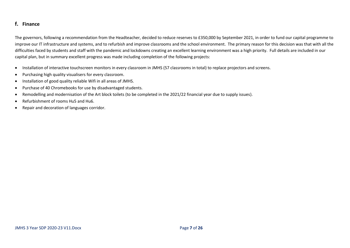## <span id="page-6-0"></span>**f. Finance**

The governors, following a recommendation from the Headteacher, decided to reduce reserves to £350,000 by September 2021, in order to fund our capital programme to improve our IT infrastructure and systems, and to refurbish and improve classrooms and the school environment. The primary reason for this decision was that with all the difficulties faced by students and staff with the pandemic and lockdowns creating an excellent learning environment was a high priority. Full details are included in our capital plan, but in summary excellent progress was made including completion of the following projects:

- Installation of interactive touchscreen monitors in every classroom in JMHS (57 classrooms in total) to replace projectors and screens.
- Purchasing high quality visualisers for every classroom.
- Installation of good quality reliable Wifi in all areas of JMHS.
- Purchase of 40 Chromebooks for use by disadvantaged students.
- Remodelling and modernisation of the Art block toilets (to be completed in the 2021/22 financial year due to supply issues).
- Refurbishment of rooms Hu5 and Hu6.
- Repair and decoration of languages corridor.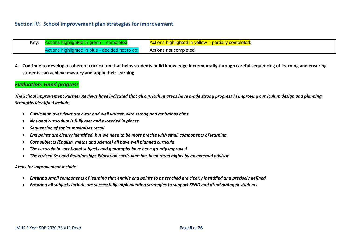- <span id="page-7-0"></span>Key: Actions highlighted in green – completed;  $\overline{\phantom{a}}$  Actions highlighted in yellow – partially completed; Actions highlighted in blue - decided not to do; Actions not completed
- **A. Continue to develop a coherent curriculum that helps students build knowledge incrementally through careful sequencing of learning and ensuring students can achieve mastery and apply their learning**

## *Evaluation: Good progress*

*The School Improvement Partner Reviews have indicated that all curriculum areas have made strong progress in improving curriculum design and planning. Strengths identified include:*

- *Curriculum overviews are clear and well written with strong and ambitious aims*
- *National curriculum is fully met and exceeded in places*
- *Sequencing of topics maximises recall*
- *End points are clearly identified, but we need to be more precise with small components of learning*
- *Core subjects (English, maths and science) all have well planned curricula*
- *The curricula in vocational subjects and geography have been greatly improved*
- *The revised Sex and Relationships Education curriculum has been rated highly by an external advisor*

#### *Areas for improvement include:*

- *Ensuring small components of learning that enable end points to be reached are clearly identified and precisely defined*
- *Ensuring all subjects include are successfully implementing strategies to support SEND and disadvantaged students*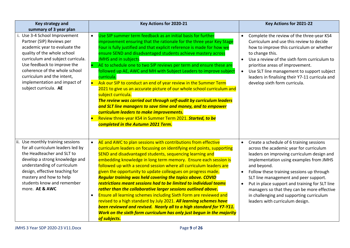| Key strategy and<br>summary of 3 year plan                                                                                                                                                                                                                                                                             | Key Actions for 2020-21                                                                                                                                                                                                                                                                                                                                                                                                                                                                                                                                                                                                                                                                                                                                                                                                                                                                                                                                      | Key Actions for 2021-22                                                                                                                                                                                                                                                                                                                                                                                                                                                                                  |
|------------------------------------------------------------------------------------------------------------------------------------------------------------------------------------------------------------------------------------------------------------------------------------------------------------------------|--------------------------------------------------------------------------------------------------------------------------------------------------------------------------------------------------------------------------------------------------------------------------------------------------------------------------------------------------------------------------------------------------------------------------------------------------------------------------------------------------------------------------------------------------------------------------------------------------------------------------------------------------------------------------------------------------------------------------------------------------------------------------------------------------------------------------------------------------------------------------------------------------------------------------------------------------------------|----------------------------------------------------------------------------------------------------------------------------------------------------------------------------------------------------------------------------------------------------------------------------------------------------------------------------------------------------------------------------------------------------------------------------------------------------------------------------------------------------------|
| i. Use 3-4 School Improvement<br>Partner (SIP) Reviews per<br>academic year to evaluate the<br>quality of the whole school<br>curriculum and subject curricula.<br>Use feedback to improve the<br>coherence of the whole school<br>curriculum and the intent,<br>implementation and impact of<br>subject curricula. AE | Use SIP summer term feedback as an initial basis for further<br>$\bullet$<br>improvement ensuring that the rationale for the three year Key Stage<br>Four is fully justified and that explicit reference is made for how we<br>ensure SEND and disadvantaged students achieve mastery across<br>JMHS and in subjects.<br>AE to schedule one to two SIP reviews per term and ensure these are<br>followed up AE, AWC and MH with Subject Leaders to improve subject<br>curricula.<br>Ask our SIP to conduct an end of year review in the Summer Term<br>2021 to give us an accurate picture of our whole school curriculum and<br>subject curricula.<br>The review was carried out through self-audit by curriculum leaders<br>and SLT line managers to save time and money, and to empower<br>curriculum leaders to make improvements.<br>Review three-year KS4 in Summer Term 2021. Started, to be<br>completed in the Autumn 2021 Term.                    | Complete the review of the three-year KS4<br>$\bullet$<br>Curriculum and use this review to decide<br>how to improve this curriculum or whether<br>to change this.<br>Use a review of the sixth form curriculum to<br>$\bullet$<br>prioritise areas of improvement.<br>Use SLT line management to support subject<br>$\bullet$<br>leaders in finalising their Y7-11 curricula and<br>develop sixth form curricula.                                                                                       |
| ii. Use monthly training sessions<br>for all curriculum leaders led by<br>the Headteacher and SLT to<br>develop a strong knowledge and<br>understanding of curriculum<br>design, effective teaching for<br>mastery and how to help<br>students know and remember<br>more. AE & AWC                                     | AE and AWC to plan sessions with contributions from effective<br>$\bullet$<br>curriculum leaders on focussing on identifying end points, supporting<br>SEND and disadvantaged students, sequencing learning and<br>embedding knowledge in long term memory. Ensure each session is<br>followed up with a second session where all curriculum leaders are<br>given the opportunity to update colleagues on progress made.<br><b>Regular training was held covering the topics above. COVID</b><br>restrictions meant sessions had to be limited to individual teams<br>rather than the collaborative larger sessions outlined above.<br>Ensure all learning schemes including Sixth Form are reviewed and<br>$\bullet$<br>revised to a high standard by July 2021. All learning schemes have<br>been reviewed and revised. Nearly all to a high standard for Y7-Y11.<br>Work on the sixth form curriculum has only just begun in the majority<br>of subjects. | Create a schedule of 6 training sessions<br>$\bullet$<br>across the academic year for curriculum<br>leaders on improving curriculum design and<br>implementation using examples from JMHS<br>and beyond.<br>Follow these training sessions up through<br>$\bullet$<br>SLT line management and peer support.<br>Put in place support and training for SLT line<br>$\bullet$<br>managers so that they can be more effective<br>in challenging and supporting curriculum<br>leaders with curriculum design. |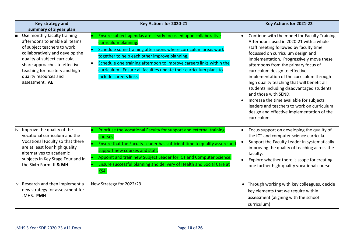| Key strategy and<br>summary of 3 year plan                                                                                                                                                                                                                                          | Key Actions for 2020-21                                                                                                                                                                                                                                                                                                                                                        | Key Actions for 2021-22                                                                                                                                                                                                                                                                                                                                                                                                                                                                                                                                                                                                          |
|-------------------------------------------------------------------------------------------------------------------------------------------------------------------------------------------------------------------------------------------------------------------------------------|--------------------------------------------------------------------------------------------------------------------------------------------------------------------------------------------------------------------------------------------------------------------------------------------------------------------------------------------------------------------------------|----------------------------------------------------------------------------------------------------------------------------------------------------------------------------------------------------------------------------------------------------------------------------------------------------------------------------------------------------------------------------------------------------------------------------------------------------------------------------------------------------------------------------------------------------------------------------------------------------------------------------------|
| iii. Use monthly faculty training<br>afternoons to enable all teams<br>of subject teachers to work<br>collaboratively and develop the<br>quality of subject curricula,<br>share approaches to effective<br>teaching for mastery and high<br>quality resources and<br>assessment. AE | Ensure subject agendas are clearly focussed upon collaborative<br>curriculum planning.<br>Schedule some training afternoons where curriculum areas work<br>together to help each other improve planning.<br>Schedule one training afternoon to improve careers links within the<br>curriculum. Ensure all faculties update their curriculum plans to<br>include careers links. | Continue with the model for Faculty Training<br>$\bullet$<br>Afternoons used in 2020-21 with a whole<br>staff meeting followed by faculty time<br>focussed on curriculum design and<br>implementation. Progressively move these<br>afternoons from the primary focus of<br>curriculum design to effective<br>implementation of the curriculum through<br>high quality teaching that will benefit all<br>students including disadvantaged students<br>and those with SEND.<br>Increase the time available for subjects<br>leaders and teachers to work on curriculum<br>design and effective implementation of the<br>curriculum. |
| iv. Improve the quality of the<br>vocational curriculum and the<br>Vocational Faculty so that there<br>are at least four high quality<br>alternatives to academic<br>subjects in Key Stage Four and in<br>the Sixth Form. JI & MH                                                   | Prioritise the Vocational Faculty for support and external training<br>courses.<br>Ensure that the Faculty Leader has sufficient time to quality assure and<br>support new courses and staff.<br>Appoint and train new Subject Leader for ICT and Computer Science.<br>Ensure successful planning and delivery of Health and Social Care at<br>KS4.                            | Focus support on developing the quality of<br>$\bullet$<br>the ICT and computer science curricula.<br>Support the Faculty Leader in systematically<br>$\bullet$<br>improving the quality of teaching across the<br>faculty.<br>Explore whether there is scope for creating<br>$\bullet$<br>one further high-quality vocational course.                                                                                                                                                                                                                                                                                           |
| v. Research and then implement a<br>new strategy for assessment for<br>JMHS. PMH                                                                                                                                                                                                    | New Strategy for 2022/23                                                                                                                                                                                                                                                                                                                                                       | • Through working with key colleagues, decide<br>key elements that we require within<br>assessment (aligning with the school<br>curriculum)                                                                                                                                                                                                                                                                                                                                                                                                                                                                                      |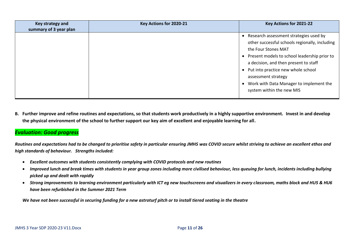| Key strategy and<br>summary of 3 year plan | Key Actions for 2020-21 | Key Actions for 2021-22                                                                                                                                                                                                                                                                                                                                    |
|--------------------------------------------|-------------------------|------------------------------------------------------------------------------------------------------------------------------------------------------------------------------------------------------------------------------------------------------------------------------------------------------------------------------------------------------------|
|                                            |                         | Research assessment strategies used by<br>other successful schools regionally, including<br>the Four Stones MAT<br>Present models to school leadership prior to<br>$\bullet$<br>a decision, and then present to staff<br>Put into practice new whole school<br>assessment strategy<br>Work with Data Manager to implement the<br>system within the new MIS |

**B. Further improve and refine routines and expectations, so that students work productively in a highly supportive environment. Invest in and develop the physical environment of the school to further support our key aim of excellent and enjoyable learning for all.**

## *Evaluation: Good progress*

*Routines and expectations had to be changed to prioritise safety in particular ensuring JMHS was COVID secure whilst striving to achieve an excellent ethos and high standards of behaviour. Strengths included:*

- *Excellent outcomes with students consistently complying with COVID protocols and new routines*
- *Improved lunch and break times with students in year group zones including more civilised behaviour, less queuing for lunch, incidents including bullying picked up and dealt with rapidly*
- *Strong improvements to learning environment particularly with ICT eg new touchscreens and visualizers in every classroom, maths block and HU5 & HU6 have been refurbished in the Summer 2021 Term*

*We have not been successful in securing funding for a new astroturf pitch or to install tiered seating in the theatre*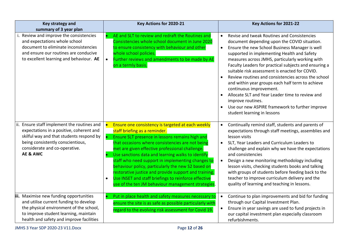| Key strategy and<br>summary of 3 year plan                                                                                                                                                                               | Key Actions for 2020-21                                                                                                                                                                                                                                                                                                                                                                                                                                                                                                                                                                          | Key Actions for 2021-22                                                                                                                                                                                                                                                                                                                                                                                                                                                                                                                                                                                                                                                              |
|--------------------------------------------------------------------------------------------------------------------------------------------------------------------------------------------------------------------------|--------------------------------------------------------------------------------------------------------------------------------------------------------------------------------------------------------------------------------------------------------------------------------------------------------------------------------------------------------------------------------------------------------------------------------------------------------------------------------------------------------------------------------------------------------------------------------------------------|--------------------------------------------------------------------------------------------------------------------------------------------------------------------------------------------------------------------------------------------------------------------------------------------------------------------------------------------------------------------------------------------------------------------------------------------------------------------------------------------------------------------------------------------------------------------------------------------------------------------------------------------------------------------------------------|
| Review and improve the consistencies<br>and expectations whole school<br>document to eliminate inconsistencies<br>and ensure our routines are conducive<br>to excellent learning and behaviour. AE                       | AE and SLT to review and redraft the Routines and<br>Consistencies whole school document in June 2020<br>to ensure consistency with behaviour and other<br>whole school policies.<br>Further reviews and amendments to be made by AE<br>$\bullet$<br>on a termly basis.                                                                                                                                                                                                                                                                                                                          | Revise and tweak Routines and Consistencies<br>$\bullet$<br>document depending upon the COVID situation.<br>Ensure the new School Business Manager is well<br>$\bullet$<br>supported in implementing Health and Safety<br>measures across JMHS, particularly working with<br>Faculty Leaders for practical subjects and ensuring a<br>suitable risk assessment is enacted for COVID.<br>Review routines and consistencies across the school<br>and within year groups each half term to achieve<br>continuous improvement.<br>Allocate SLT and Year Leader time to review and<br>improve routines.<br>Use our new ASPIRE framework to further improve<br>student learning in lessons |
| Ensure staff implement the routines and<br>ii.<br>expectations in a positive, coherent and<br>skilful way and that students respond by<br>being consistently conscientious,<br>considerate and co-operative.<br>AE & AWC | Ensure one consistency is targeted at each weekly<br>staff briefing as a reminder.<br>Ensure SLT presence in lessons remains high and<br>that occasions where consistencies are not being<br>met are given effective professional challenge.<br>Use sanctions data and learning walks to identify<br>staff who need support in implementing changes to<br>behaviour policy, particularly the new S2 based on<br>restorative justice and provide support and training.<br>Use INSET and staff briefings to reinforce effective<br>$\bullet$<br>use of the ten JM behaviour management strategies. | Continually remind staff, students and parents of<br>$\bullet$<br>expectations through staff meetings, assemblies and<br>lesson visits<br>SLT, Year Leaders and Curriculum Leaders to<br>$\bullet$<br>challenge and explain why we have the expectations<br>and consistencies<br>Design a new monitoring methodology including<br>$\bullet$<br>lesson visits, checking students books and talking<br>with groups of students before feeding back to the<br>teacher to improve curriculum delivery and the<br>quality of learning and teaching in lessons.                                                                                                                            |
| iii. Maximise new funding opportunities<br>and utilise current funding to develop<br>the physical environment of the school,<br>to improve student learning, maintain<br>health and safety and improve facilities        | Put in place health and safety measures necessary to<br>ensure the site is as safe as possible particularly with<br>regard to the evolving risk assessment for Covid 19.                                                                                                                                                                                                                                                                                                                                                                                                                         | Continue to plan improvements and bid for funding<br>$\bullet$<br>through our Capital Investment Plan.<br>Ensure in year savings are used to fund projects in<br>$\bullet$<br>our capital investment plan especially classroom<br>refurbishments.                                                                                                                                                                                                                                                                                                                                                                                                                                    |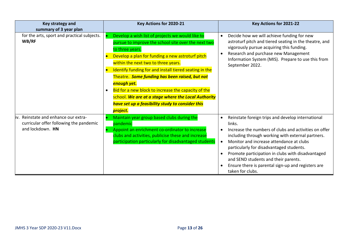| Key strategy and<br>summary of 3 year plan                                                              | Key Actions for 2020-21                                                                                                                                                                                                                                                                                                                                                                                                                                                                                                                     | Key Actions for 2021-22                                                                                                                                                                                                                                                                                                                                                                                                                                                                      |
|---------------------------------------------------------------------------------------------------------|---------------------------------------------------------------------------------------------------------------------------------------------------------------------------------------------------------------------------------------------------------------------------------------------------------------------------------------------------------------------------------------------------------------------------------------------------------------------------------------------------------------------------------------------|----------------------------------------------------------------------------------------------------------------------------------------------------------------------------------------------------------------------------------------------------------------------------------------------------------------------------------------------------------------------------------------------------------------------------------------------------------------------------------------------|
| for the arts, sport and practical subjects.<br>WB/RF                                                    | Develop a wish list of projects we would like to<br>pursue to improve the school site over the next two<br>to three years.<br>Develop a plan for funding a new astroturf pitch<br>within the next two to three years.<br>Identify funding for and install tiered seating in the<br>Theatre. Some funding has been raised, but not<br>enough yet.<br>Bid for a new block to increase the capacity of the<br>$\bullet$<br>school. We are at a stage where the Local Authority<br>have set up a feasibility study to consider this<br>project. | Decide how we will achieve funding for new<br>$\bullet$<br>astroturf pitch and tiered seating in the theatre, and<br>vigorously pursue acquiring this funding.<br>Research and purchase new Management<br>$\bullet$<br>Information System (MIS). Prepare to use this from<br>September 2022.                                                                                                                                                                                                 |
| Reinstate and enhance our extra-<br>liv.<br>curricular offer following the pandemic<br>and lockdown. HN | Maintain year group based clubs during the<br>pandemic<br>Appoint an enrichment co-ordinator to increase<br>clubs and activities, publicise these and increase<br>participation particularly for disadvantaged students                                                                                                                                                                                                                                                                                                                     | Reinstate foreign trips and develop international<br>$\bullet$<br>links.<br>Increase the numbers of clubs and activities on offer<br>$\bullet$<br>including through working with external partners.<br>Monitor and increase attendance at clubs<br>$\bullet$<br>particularly for disadvantaged students.<br>Promote participation in clubs with disadvantaged<br>$\bullet$<br>and SEND students and their parents.<br>Ensure there is parental sign-up and registers are<br>taken for clubs. |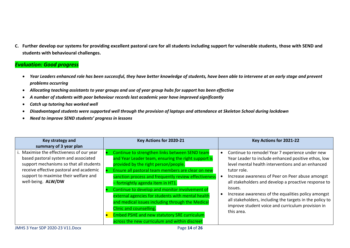**C. Further develop our systems for providing excellent pastoral care for all students including support for vulnerable students, those with SEND and students with behavioural challenges.**

## *Evaluation: Good progress*

- *Year Leaders enhanced role has been successful, they have better knowledge of students, have been able to intervene at an early stage and prevent problems occurring*
- *Allocating teaching assistants to year groups and use of year group hubs for support has been effective*
- *A number of students with poor behaviour records last academic year have improved significantly*
- *Catch up tutoring has worked well*
- *Disadvantaged students were supported well through the provision of laptops and attendance at Skeleton School during lockdown*
- *Need to improve SEND students' progress in lessons*

| Key strategy and                                                                  | Key Actions for 2020-21                                                                               | Key Actions for 2021-22                                                                                             |
|-----------------------------------------------------------------------------------|-------------------------------------------------------------------------------------------------------|---------------------------------------------------------------------------------------------------------------------|
| summary of 3 year plan                                                            |                                                                                                       |                                                                                                                     |
| i. Maximise the effectiveness of our year<br>based pastoral system and associated | Continue to strengthen links between SEND team<br>and Year Leader team, ensuring the right support is | Continue to remodel Year 7 experience under new<br>$\bullet$<br>Year Leader to include enhanced positive ethos, low |
| support mechanisms so that all students                                           | provided by the right person/people.                                                                  | level mental health interventions and an enhanced                                                                   |
| receive effective pastoral and academic                                           | Ensure all pastoral team members are clear on new                                                     | tutor role.                                                                                                         |
| support to maximise their welfare and                                             | sanction process and frequently review effectiveness                                                  | Increase awareness of Peer on Peer abuse amongst<br>$\bullet$                                                       |
| well-being. ALW/DW                                                                | - fortnightly agenda item in HT1.                                                                     | all stakeholders and develop a proactive response to                                                                |
|                                                                                   | Continue to develop and monitor involvement of                                                        | issues.                                                                                                             |
|                                                                                   | external agencies for students with mental health                                                     | Increase awareness of the equalities policy amongst                                                                 |
|                                                                                   | and medical issues including through the Medical                                                      | all stakeholders, including the targets in the policy to<br>improve student voice and curriculum provision in       |
|                                                                                   | Clinic and counselling.                                                                               | this area.                                                                                                          |
|                                                                                   | <b>Embed PSHE and new statutory SRE curriculum</b>                                                    |                                                                                                                     |
|                                                                                   | across the new curriculum and within discreet                                                         |                                                                                                                     |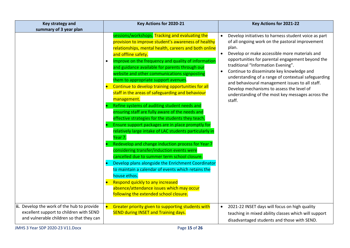| Key strategy and                           | Key Actions for 2020-21                                          | Key Actions for 2021-22                                                                      |
|--------------------------------------------|------------------------------------------------------------------|----------------------------------------------------------------------------------------------|
| summary of 3 year plan                     |                                                                  |                                                                                              |
|                                            | sessions/workshops. Tracking and evaluating the                  | Develop initiatives to harness student voice as part<br>$\bullet$                            |
|                                            | provision to improve student's awareness of healthy              | of all ongoing work on the pastoral improvement                                              |
|                                            | relationships, mental health, careers and both online            | plan.                                                                                        |
|                                            | and offline safety.                                              | Develop or make accessible more materials and<br>$\bullet$                                   |
|                                            | Improve on the frequency and quality of information<br>$\bullet$ | opportunities for parental engagement beyond the                                             |
|                                            | and guidance available for parents through our                   | traditional "Information Evening".                                                           |
|                                            | website and other communications signposting                     | Continue to disseminate key knowledge and<br>$\bullet$                                       |
|                                            | them to appropriate support avenues.                             | understanding of a range of contextual safeguarding                                          |
|                                            | Continue to develop training opportunities for all<br>$\bullet$  | and behavioural management issues to all staff.<br>Develop mechanisms to assess the level of |
|                                            | staff in the areas of safeguarding and behaviour                 | understanding of the most key messages across the                                            |
|                                            | management.                                                      | staff.                                                                                       |
|                                            | Refine systems of auditing student needs and                     |                                                                                              |
|                                            | ensuring staff are fully aware of the needs and                  |                                                                                              |
|                                            | effective strategies for the students they teach.                |                                                                                              |
|                                            | Ensure support packages are in place promptly for                |                                                                                              |
|                                            | relatively large intake of LAC students particularly in          |                                                                                              |
|                                            | Year 7.                                                          |                                                                                              |
|                                            | Redevelop and change induction process for Year 7                |                                                                                              |
|                                            | considering transfer/induction events were                       |                                                                                              |
|                                            | cancelled due to summer term school closure.                     |                                                                                              |
|                                            | Develop plans alongside the Enrichment Coordinator               |                                                                                              |
|                                            | to maintain a calendar of events which retains the               |                                                                                              |
|                                            | house ethos.                                                     |                                                                                              |
|                                            | Respond quickly to any increased                                 |                                                                                              |
|                                            | absence/attendance issues which may occur                        |                                                                                              |
|                                            | following the extended school closure.                           |                                                                                              |
|                                            |                                                                  |                                                                                              |
| ii. Develop the work of the hub to provide | Greater priority given to supporting students with               | 2021-22 INSET days will focus on high quality<br>$\bullet$                                   |
| excellent support to children with SEND    | <b>SEND during INSET and Training days.</b>                      | teaching in mixed ability classes which will support                                         |
| and vulnerable children so that they can   |                                                                  | disadvantaged students and those with SEND.                                                  |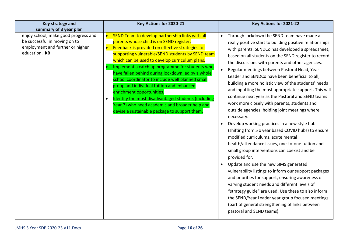| Key strategy and<br>summary of 3 year plan                                                                                 | Key Actions for 2020-21                                                                                                                                                                                                                                                                                                                                                                                                                                                                                                                                                                                                                                                                      | Key Actions for 2021-22                                                                                                                                                                                                                                                                                                                                                                                                                                                                                                                                                                                                                                                                                                                                                                                                                                                                                                                                                                                                                                                                                                                                                                                                                                                                                                                                        |
|----------------------------------------------------------------------------------------------------------------------------|----------------------------------------------------------------------------------------------------------------------------------------------------------------------------------------------------------------------------------------------------------------------------------------------------------------------------------------------------------------------------------------------------------------------------------------------------------------------------------------------------------------------------------------------------------------------------------------------------------------------------------------------------------------------------------------------|----------------------------------------------------------------------------------------------------------------------------------------------------------------------------------------------------------------------------------------------------------------------------------------------------------------------------------------------------------------------------------------------------------------------------------------------------------------------------------------------------------------------------------------------------------------------------------------------------------------------------------------------------------------------------------------------------------------------------------------------------------------------------------------------------------------------------------------------------------------------------------------------------------------------------------------------------------------------------------------------------------------------------------------------------------------------------------------------------------------------------------------------------------------------------------------------------------------------------------------------------------------------------------------------------------------------------------------------------------------|
| enjoy school, make good progress and<br>be successful in moving on to<br>employment and further or higher<br>education. KB | SEND Team to develop partnership links with all<br>$\bullet$<br>parents whose child is on SEND register.<br>Feedback is provided on effective strategies for<br>$\bullet$<br>supporting vulnerable/SEND students by SEND team<br>which can be used to develop curriculum plans.<br>Implement a catch up programme for students who<br>have fallen behind during lockdown led by a whole<br>school coordinator to include well planned small<br>group and individual tuition and enhanced<br>enrichment opportunities.<br>Identify the most disadvantaged students (including<br>$\bullet$<br>Year 7) who need academic and broader help and<br>devise a sustainable package to support them. | Through lockdown the SEND team have made a<br>$\bullet$<br>really positive start to building positive relationships<br>with parents. SENDCo has developed a spreadsheet,<br>based on all students on the SEND register to record<br>the discussions with parents and other agencies.<br>Regular meetings between Pastoral Head, Year<br>$\bullet$<br>Leader and SENDCo have been beneficial to all,<br>building a more holistic view of the students' needs<br>and inputting the most appropriate support. This will<br>continue next year as the Pastoral and SEND teams<br>work more closely with parents, students and<br>outside agencies, holding joint meetings where<br>necessary.<br>Develop working practices in a new style hub<br>(shifting from 5 x year based COVID hubs) to ensure<br>modified curriculums, acute mental<br>health/attendance issues, one-to-one tuition and<br>small group interventions can coexist and be<br>provided for.<br>Update and use the new SIMS generated<br>vulnerability listings to inform our support packages<br>and priorities for support, ensuring awareness of<br>varying student needs and different levels of<br>"strategy guide" are used. Use these to also inform<br>the SEND/Year Leader year group focused meetings<br>(part of general strengthening of links between<br>pastoral and SEND teams). |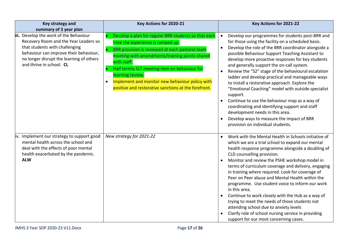| Key strategy and<br>summary of 3 year plan                                                                                                                                                                                          | Key Actions for 2020-21                                                                                                                                                                                                                                                                                                                                                                                    | Key Actions for 2021-22                                                                                                                                                                                                                                                                                                                                                                                                                                                                                                                                                                                                                                                                                                                                                                                           |
|-------------------------------------------------------------------------------------------------------------------------------------------------------------------------------------------------------------------------------------|------------------------------------------------------------------------------------------------------------------------------------------------------------------------------------------------------------------------------------------------------------------------------------------------------------------------------------------------------------------------------------------------------------|-------------------------------------------------------------------------------------------------------------------------------------------------------------------------------------------------------------------------------------------------------------------------------------------------------------------------------------------------------------------------------------------------------------------------------------------------------------------------------------------------------------------------------------------------------------------------------------------------------------------------------------------------------------------------------------------------------------------------------------------------------------------------------------------------------------------|
| iii. Develop the work of the Behaviour<br>Recovery Room and the Year Leaders so<br>that students with challenging<br>behaviour can improve their behaviour,<br>no longer disrupt the learning of others<br>and thrive in school. CL | Develop a plan for regular BRR students so that each<br>time the experience is ramped up.<br>BRR provision is reviewed at each pastoral team<br>meeting with amendments/training points shared<br>with staff.<br>Half termly SLT meeting item on behaviour for<br>learning review.<br>Implement and monitor new behaviour policy with<br>$\bullet$<br>positive and restorative sanctions at the forefront. | Develop our programmes for students post-BRR and<br>$\bullet$<br>for those using the facility on a scheduled basis.<br>Develop the role of the BRR coordinator alongside a<br>$\bullet$<br>possible Behaviour Support Teaching Assistant to<br>develop more proactive responses for key students<br>and generally support the on-call system.<br>Review the "S2" stage of the behavioural escalation<br>ladder and develop practical and manageable ways<br>to install a restorative approach. Explore the<br>"Emotional Coaching" model with outside specialist<br>support.<br>Continue to use the behaviour map as a way of<br>coordinating and identifying support and staff<br>development needs in this area.<br>Develop ways to measure the impact of BRR<br>$\bullet$<br>provision on individual students. |
| iv. Implement our strategy to support good<br>mental health across the school and<br>deal with the effects of poor mental<br>health exacerbated by the pandemic.<br><b>ALW</b>                                                      | New strategy for 2021-22                                                                                                                                                                                                                                                                                                                                                                                   | Work with the Mental Health in Schools initiative of<br>which we are a trial school to expand our mental<br>health response programme alongside a doubling of<br>CLD counselling provision.<br>Monitor and review the PSHE workshop model in<br>terms of curriculum coverage and delivery, engaging<br>in training where required. Look for coverage of<br>Peer on Peer abuse and Mental Health within the<br>programme. Use student voice to inform our work<br>in this area.<br>Continue to work closely with the Hub as a way of<br>trying to meet the needs of those students not<br>attending school due to anxiety levels<br>Clarify role of school nursing service in providing<br>support for our most concerning cases.                                                                                  |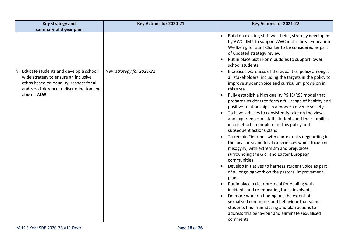| Key strategy and                                                                                                                                                                       | Key Actions for 2020-21  | Key Actions for 2021-22                                                                                                                                                                                                                                                                                                                                                                                                                                                                                                                                                                                                                                                                                                                                                                                                                                                                                                                                                                                                                                                                                                                                                                                                            |
|----------------------------------------------------------------------------------------------------------------------------------------------------------------------------------------|--------------------------|------------------------------------------------------------------------------------------------------------------------------------------------------------------------------------------------------------------------------------------------------------------------------------------------------------------------------------------------------------------------------------------------------------------------------------------------------------------------------------------------------------------------------------------------------------------------------------------------------------------------------------------------------------------------------------------------------------------------------------------------------------------------------------------------------------------------------------------------------------------------------------------------------------------------------------------------------------------------------------------------------------------------------------------------------------------------------------------------------------------------------------------------------------------------------------------------------------------------------------|
| summary of 3 year plan                                                                                                                                                                 |                          |                                                                                                                                                                                                                                                                                                                                                                                                                                                                                                                                                                                                                                                                                                                                                                                                                                                                                                                                                                                                                                                                                                                                                                                                                                    |
|                                                                                                                                                                                        |                          | Build on existing staff well-being strategy developed<br>$\bullet$<br>by AWC. JMK to support AWC in this area. Education<br>Wellbeing for staff Charter to be considered as part<br>of updated strategy review.<br>Put in place Sixth Form buddies to support lower<br>school students.                                                                                                                                                                                                                                                                                                                                                                                                                                                                                                                                                                                                                                                                                                                                                                                                                                                                                                                                            |
| v. Educate students and develop a school<br>wide strategy to ensure an inclusive<br>ethos based on equality, respect for all<br>and zero tolerance of discrimination and<br>abuse. ALW | New strategy for 2021-22 | Increase awareness of the equalities policy amongst<br>$\bullet$<br>all stakeholders, including the targets in the policy to<br>improve student voice and curriculum provision in<br>this area.<br>Fully establish a high quality PSHE/RSE model that<br>prepares students to form a full range of healthy and<br>positive relationships in a modern diverse society.<br>To have vehicles to consistently take on the views<br>and experiences of staff, students and their families<br>in our efforts to implement this policy and<br>subsequent actions plans<br>To remain "in tune" with contextual safeguarding in<br>the local area and local experiences which focus on<br>misogyny, with extremism and prejudices<br>surrounding the GRT and Easter European<br>communities.<br>Develop initiatives to harness student voice as part<br>of all ongoing work on the pastoral improvement<br>plan.<br>Put in place a clear protocol for dealing with<br>incidents and re-educating those involved.<br>Do more work on finding out the extent of<br>$\bullet$<br>sexualised comments and behaviour that some<br>students find intimidating and plan actions to<br>address this behaviour and eliminate sexualised<br>comments. |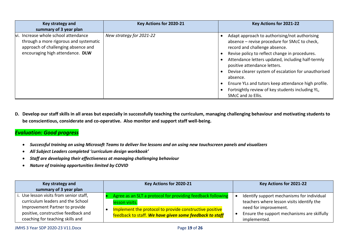| Key strategy and<br>summary of 3 year plan                                                                                                                | Key Actions for 2020-21  | Key Actions for 2021-22                                                                                                                                                                                                                                                                                                                                                                                                                                                     |
|-----------------------------------------------------------------------------------------------------------------------------------------------------------|--------------------------|-----------------------------------------------------------------------------------------------------------------------------------------------------------------------------------------------------------------------------------------------------------------------------------------------------------------------------------------------------------------------------------------------------------------------------------------------------------------------------|
| vi. Increase whole school attendance<br>through a more rigorous and systematic<br>approach of challenging absence and<br>encouraging high attendance. DLW | New strategy for 2021-22 | Adapt approach to authorising/not authorising<br>absence - revise procedure for SMcC to check,<br>record and challenge absence.<br>Revise policy to reflect change in procedures.<br>Attendance letters updated, including half-termly<br>positive attendance letters.<br>Devise clearer system of escalation for unauthorised<br>absence.<br>Ensure YLs and tutors keep attendance high profile.<br>Fortnightly review of key students including YL,<br>SMcC and Jo Ellis. |

**D. Develop our staff skills in all areas but especially in successfully teaching the curriculum, managing challenging behaviour and motivating students to be conscientious, considerate and co-operative. Also monitor and support staff well-being.**

## *Evaluation: Good progress*

- *Successful training on using Microsoft Teams to deliver live lessons and on using new touchscreen panels and visualizers*
- *All Subject Leaders completed 'curriculum design workbook'*
- *Staff are developing their effectiveness at managing challenging behaviour*
- *Nature of training opportunities limited by COVID*

| Key strategy and<br>summary of 3 year plan                                                                                                                                                | Key Actions for 2020-21                                                                                                                                                                             | Key Actions for 2021-22                                                                                                                                                         |
|-------------------------------------------------------------------------------------------------------------------------------------------------------------------------------------------|-----------------------------------------------------------------------------------------------------------------------------------------------------------------------------------------------------|---------------------------------------------------------------------------------------------------------------------------------------------------------------------------------|
| i. Use lesson visits from senior staff,<br>curriculum leaders and the School<br>Improvement Partner to provide<br>positive, constructive feedback and<br>coaching for teaching skills and | Agree as an SLT a protocol for providing feedback following<br>lesson visits.<br>Implement the protocol to provide constructive positive<br>feedback to staff. We have given some feedback to staff | Identify support mechanisms for individual<br>teachers where lesson visits identify the<br>need for improvement.<br>Ensure the support mechanisms are skilfully<br>implemented. |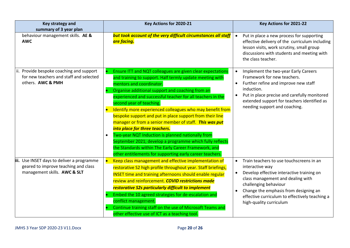| Key strategy and<br>summary of 3 year plan                                                                         | Key Actions for 2020-21                                                                                                                                                                                                                                                                                                                                                                                                                                                                                                                                                                                                                                                                                                                                    | Key Actions for 2021-22                                                                                                                                                                                                                                                                                                |
|--------------------------------------------------------------------------------------------------------------------|------------------------------------------------------------------------------------------------------------------------------------------------------------------------------------------------------------------------------------------------------------------------------------------------------------------------------------------------------------------------------------------------------------------------------------------------------------------------------------------------------------------------------------------------------------------------------------------------------------------------------------------------------------------------------------------------------------------------------------------------------------|------------------------------------------------------------------------------------------------------------------------------------------------------------------------------------------------------------------------------------------------------------------------------------------------------------------------|
| behaviour management skills. AE &<br><b>AWC</b>                                                                    | but took account of the very difficult circumstances all staff<br>are facing.                                                                                                                                                                                                                                                                                                                                                                                                                                                                                                                                                                                                                                                                              | Put in place a new process for supporting<br>$\bullet$<br>effective delivery of the curriculum including<br>lesson visits, work scrutiny, small group<br>discussions with students and meeting with<br>the class teacher.                                                                                              |
| ii. Provide bespoke coaching and support<br>for new teachers and staff and selected<br>others. AWC & PMH           | Ensure ITT and NQT colleagues are given clear expectations<br>and training to support. Half termly update meeting with<br>mentors and coordinator.<br>Organise additional support and coaching from an<br>experienced and successful teacher for all teachers in the<br>second year of teaching.<br>Identify more experienced colleagues who may benefit from<br>bespoke support and put in place support from their line<br>manager or from a senior member of staff. This was put<br>into place for three teachers.<br>Two-year NQT Induction is planned nationally from<br>September 2021; develop a programme which fully reflects<br>the Standards within The Early Career Framework, and<br>other entitlements for supporting early career teachers. | Implement the two-year Early Careers<br>$\bullet$<br>Framework for new teachers.<br>Further refine and improve new staff<br>induction.<br>Put in place precise and carefully monitored<br>$\bullet$<br>extended support for teachers identified as<br>needing support and coaching.                                    |
| iii. Use INSET days to deliver a programme<br>geared to improve teaching and class<br>management skills. AWC & SLT | Keep class management and effective implementation of<br>$\bullet$<br>restorative S2 high profile throughout year. Staff briefings,<br><b>INSET time and training afternoons should enable regular</b><br>review and reinforcement. COVID restrictions made<br>restorative S2s particularly difficult to implement<br>Embed the 10 agreed strategies for de-escalation and<br>conflict management.<br>Continue training staff on the use of Microsoft Teams and<br>other effective use of ICT as a teaching tool.                                                                                                                                                                                                                                          | Train teachers to use touchscreens in an<br>$\bullet$<br>interactive way<br>Develop effective interactive training on<br>$\bullet$<br>class management and dealing with<br>challenging behaviour<br>Change the emphasis from designing an<br>effective curriculum to effectively teaching a<br>high-quality curriculum |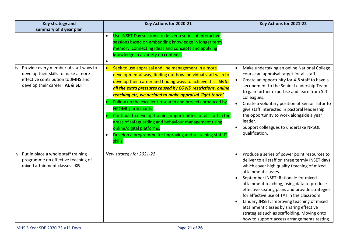| <b>Key strategy and</b>                                                                                                                                                            | Key Actions for 2020-21                                                                                                                                                                                                                                                                                                                                                                                                                                          | Key Actions for 2021-22                                                                                                                                                                                                                                                                                                                                                                                                                                                                                                                                                     |
|------------------------------------------------------------------------------------------------------------------------------------------------------------------------------------|------------------------------------------------------------------------------------------------------------------------------------------------------------------------------------------------------------------------------------------------------------------------------------------------------------------------------------------------------------------------------------------------------------------------------------------------------------------|-----------------------------------------------------------------------------------------------------------------------------------------------------------------------------------------------------------------------------------------------------------------------------------------------------------------------------------------------------------------------------------------------------------------------------------------------------------------------------------------------------------------------------------------------------------------------------|
| summary of 3 year plan<br>iv. Provide every member of staff ways to<br>develop their skills to make a more<br>effective contribution to JMHS and<br>develop their career. AE & SLT | Use INSET Day sessions to deliver a series of interactive<br>$\bullet$<br>sessions based on embedding knowledge in longer term<br>memory, connecting ideas and concepts and applying<br>knowledge in a variety on contexts.<br>$\bullet$<br>Seek to use appraisal and line management in a more<br>$\bullet$<br>developmental way, finding out how individual staff wish to<br>develop their career and finding ways to achieve this. With                       | Make undertaking an online National College<br>$\bullet$<br>course an appraisal target for all staff<br>Create an opportunity for 4-8 staff to have a<br>$\bullet$<br>secondment to the Senior Leadership Team                                                                                                                                                                                                                                                                                                                                                              |
|                                                                                                                                                                                    | all the extra pressures caused by COVID restrictions, online<br>teaching etc, we decided to make appraisal 'light touch'<br>Follow up the excellent research and projects produced by<br><b>NPQML</b> participants.<br>Continue to develop training opportunities for all staff in the<br>areas of safeguarding and behaviour management using<br>online/digital platforms.<br>Develop a programme for improving and sustaining staff IT<br>$\bullet$<br>skills. | to gain further expertise and learn from SLT<br>colleagues.<br>Create a voluntary position of Senior Tutor to<br>give staff interested in pastoral leadership<br>the opportunity to work alongside a year<br>leader.<br>Support colleagues to undertake NPSQL<br>$\bullet$<br>qualification.                                                                                                                                                                                                                                                                                |
| v. Put in place a whole staff training<br>programme on effective teaching of<br>mixed attainment classes. KB                                                                       | New strategy for 2021-22                                                                                                                                                                                                                                                                                                                                                                                                                                         | Produce a series of power point resources to<br>$\bullet$<br>deliver to all staff on three termly INSET days<br>which cover high quality teaching of mixed<br>attainment classes.<br>September INSET: Rationale for mixed<br>$\bullet$<br>attainment teaching, using data to produce<br>effective seating plans and provide strategies<br>for effective use of TAs in the classroom.<br>January INSET: Improving teaching of mixed<br>attainment classes by sharing effective<br>strategies such as scaffolding. Moving onto<br>how to support access arrangements testing. |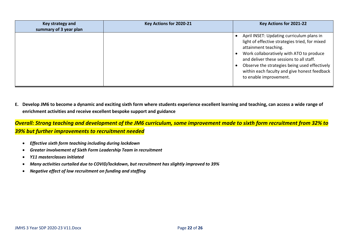| Key strategy and<br>summary of 3 year plan | Key Actions for 2020-21 | Key Actions for 2021-22                                                                                                                                                                                                                                                                                                                |
|--------------------------------------------|-------------------------|----------------------------------------------------------------------------------------------------------------------------------------------------------------------------------------------------------------------------------------------------------------------------------------------------------------------------------------|
|                                            |                         | April INSET: Updating curriculum plans in<br>light of effective strategies tried, for mixed<br>attainment teaching.<br>Work collaboratively with ATO to produce<br>and deliver these sessions to all staff.<br>Observe the strategies being used effectively<br>within each faculty and give honest feedback<br>to enable improvement. |

**E. Develop JM6 to become a dynamic and exciting sixth form where students experience excellent learning and teaching, can access a wide range of enrichment activities and receive excellent bespoke support and guidance** 

*Overall: Strong teaching and development of the JM6 curriculum, some improvement made to sixth form recruitment from 32% to 39% but further improvements to recruitment needed*

- *Effective sixth form teaching including during lockdown*
- *Greater involvement of Sixth Form Leadership Team in recruitment*
- *Y11 masterclasses initiated*
- *Many activities curtailed due to COVID/lockdown, but recruitment has slightly improved to 39%*
- *Negative effect of low recruitment on funding and staffing*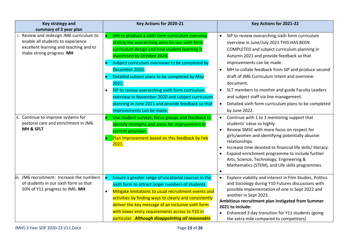| Key strategy and<br>summary of 3 year plan                                                                                                         | Key Actions for 2020-21                                                                                                                                                                                                                                                                                                                                                                                                                                                                                                | Key Actions for 2021-22                                                                                                                                                                                                                                                                                                                                                                                                                                                                                                                                           |
|----------------------------------------------------------------------------------------------------------------------------------------------------|------------------------------------------------------------------------------------------------------------------------------------------------------------------------------------------------------------------------------------------------------------------------------------------------------------------------------------------------------------------------------------------------------------------------------------------------------------------------------------------------------------------------|-------------------------------------------------------------------------------------------------------------------------------------------------------------------------------------------------------------------------------------------------------------------------------------------------------------------------------------------------------------------------------------------------------------------------------------------------------------------------------------------------------------------------------------------------------------------|
| i. Review and redesign JM6 curriculum to<br>enable all students to experience<br>excellent learning and teaching and to<br>make strong progress MH | MH to produce a sixth form curriculum overview<br>stating the overarching aims for our sixth form<br>curriculum design and how student learning is<br>maximised by October 2020.<br>Subject curriculum overviews to be completed by<br>December 2020.<br>Detailed subject plans to be completed by May<br>2021.<br>SIP to review overarching sixth form curriculum<br>$\bullet$<br>overview in November 2020 and subject curriculum<br>planning in June 2021 and provide feedback so that<br>improvements can be made. | SIP to review overarching sixth form curriculum<br>$\bullet$<br>overview in June/July 2021 THIS HAS BEEN<br>COMPLETED and subject curriculum planning in<br>Autumn 2021 and provide feedback so that<br>improvements can be made.<br>MH to collate feedback from SIP and produce second<br>$\bullet$<br>draft of JM6 Curriculum Intent and overview<br>document.<br>SLT members to monitor and guide Faculty Leaders<br>$\bullet$<br>and subject staff via line management.<br>Detailed sixth form curriculum plans to be completed<br>$\bullet$<br>by June 2022. |
| ii. Continue to improve systems for<br>pastoral care and enrichment in JM6<br>MH & SFLT                                                            | Use student surveys, focus groups and feedback to<br>$\bullet$<br>identify strengths and areas for improvement in<br>current provision.<br>Plan improvement based on this feedback by Feb<br>2021.                                                                                                                                                                                                                                                                                                                     | Continue with 1 to 1 mentoring support that<br>$\bullet$<br>students' value so highly.<br>Review SMSC with more focus on respect for<br>$\bullet$<br>girls/women and identifying potentially abusive<br>relationships.<br>Increase time devoted to financial life skills/ literacy.<br>$\bullet$<br>Expand enrichment programme to include further<br>$\bullet$<br>Arts, Science, Technology, Engineering &<br>Mathematics (STEM), and Life skills programmes.                                                                                                    |
| iii. JM6 recruitment: Increase the numbers<br>of students in our sixth form so that<br>50% of Y11 progress to JM6. MH                              | Ensure a greater range of vocational courses in the<br>$\bullet$<br>sixth form to attract larger numbers of students.<br>Mitigate limitations to usual recruitment events and<br>$\bullet$<br>activities by finding ways to clearly and consistently<br>deliver the key message of an inclusive sixth form<br>with lower entry requirements across to Y10 in<br>particular. Although disappointing all reasonable                                                                                                      | Explore viability and interest in Film Studies, Politics<br>$\bullet$<br>and Sociology during Y10 Futures discussions with<br>possible implementation of one in Sept 2022 and<br>another in Sept 2023.<br>Ambitious recruitment plan instigated from Summer<br>2021 to include:<br>Enhanced 3 day transition for Y11 students (going<br>$\bullet$<br>the extra mile compared to competitors)                                                                                                                                                                      |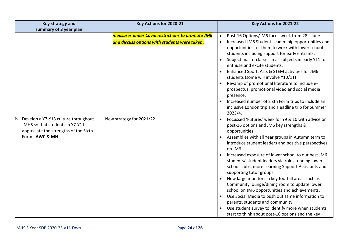| Key strategy and                                                                                                                      | Key Actions for 2020-21                                                                                  | Key Actions for 2021-22                                                                                                                                                                                                                                                                                                                                                                                                                                                                                                                                                                                                                                                                                                                                                                                                                                  |
|---------------------------------------------------------------------------------------------------------------------------------------|----------------------------------------------------------------------------------------------------------|----------------------------------------------------------------------------------------------------------------------------------------------------------------------------------------------------------------------------------------------------------------------------------------------------------------------------------------------------------------------------------------------------------------------------------------------------------------------------------------------------------------------------------------------------------------------------------------------------------------------------------------------------------------------------------------------------------------------------------------------------------------------------------------------------------------------------------------------------------|
| summary of 3 year plan                                                                                                                |                                                                                                          |                                                                                                                                                                                                                                                                                                                                                                                                                                                                                                                                                                                                                                                                                                                                                                                                                                                          |
|                                                                                                                                       | <b>measures under Covid restrictions to promote JM6</b><br>and discuss options with students were taken. | Post-16 Options/JM6 focus week from 28 <sup>th</sup> June<br>$\bullet$<br>Increased JM6 Student Leadership opportunities and<br>$\bullet$<br>opportunities for them to work with lower school<br>students including support for early entrants.<br>Subject masterclasses in all subjects in early Y11 to<br>$\bullet$<br>enthuse and excite students.<br>Enhanced Sport, Arts & STEM activities for JM6<br>$\bullet$<br>students (some will involve Y10/11)<br>Revamp of promotional literature to include e-<br>prospectus, promotional video and social media<br>presence.<br>Increased number of Sixth Form trips to include an<br>$\bullet$<br>inclusive London trip and Headline trip for Summer                                                                                                                                                    |
| iv. Develop a Y7-Y13 culture throughout<br>JMHS so that students in Y7-Y11<br>appreciate the strengths of the Sixth<br>Form. AWC & MH | New strategy for 2021/22                                                                                 | 2023/4.<br>Focussed 'Futures' week for Y9 & 10 with advice on<br>$\bullet$<br>post-16 options and JM6 key strengths &<br>opportunities.<br>Assemblies with all Year groups in Autumn term to<br>$\bullet$<br>introduce student leaders and positive perspectives<br>on JM6.<br>Increased exposure of lower school to our best JM6<br>students/ student leaders via roles running lower<br>school clubs, more Learning Support Assistants and<br>supporting tutor groups.<br>New large monitors in key footfall areas such as<br>Community lounge/dining room to update lower<br>school on JM6 opportunities and achievements.<br>Use Social Media to push out same information to<br>$\bullet$<br>parents, students and community.<br>Use student survey to identify more when students<br>$\bullet$<br>start to think about post-16 options and the key |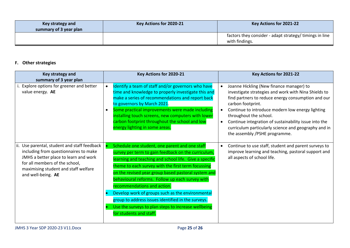| Key strategy and<br>summary of 3 year plan | Key Actions for 2020-21 | Key Actions for 2021-22                                                               |
|--------------------------------------------|-------------------------|---------------------------------------------------------------------------------------|
|                                            |                         | factors they consider - adapt strategy/ timings in line $\parallel$<br>with findings. |

## **F. Other strategies**

| Key strategy and<br>summary of 3 year plan                                                                                                                                                                                     | Key Actions for 2020-21                                                                                                                                                                                                                                                                                                                                                                                                                                                                                                                                    | Key Actions for 2021-22                                                                                                                                                                                                                                                                                                                                                                                                               |
|--------------------------------------------------------------------------------------------------------------------------------------------------------------------------------------------------------------------------------|------------------------------------------------------------------------------------------------------------------------------------------------------------------------------------------------------------------------------------------------------------------------------------------------------------------------------------------------------------------------------------------------------------------------------------------------------------------------------------------------------------------------------------------------------------|---------------------------------------------------------------------------------------------------------------------------------------------------------------------------------------------------------------------------------------------------------------------------------------------------------------------------------------------------------------------------------------------------------------------------------------|
| i. Explore options for greener and better<br>value energy. AE                                                                                                                                                                  | Identify a team of staff and/or governors who have<br>time and knowledge to properly investigate this and<br>make a series of recommendations and report back<br>to governors by March 2021.<br>Some practical improvements were made including<br>installing touch screens, new computers with lower<br>carbon footprint throughout the school and low<br>energy lighting in some areas.                                                                                                                                                                  | Joanne Hickling (New finance manager) to<br>investigate strategies and work with Nina Shields to<br>find partners to reduce energy consumption and our<br>carbon footprint.<br>Continue to introduce modern low energy lighting<br>$\bullet$<br>throughout the school.<br>Continue integration of sustainability issue into the<br>$\bullet$<br>curriculum particularly science and geography and in<br>the assembly /PSHE programme. |
| ii. Use parental, student and staff feedback<br>including from questionnaires to make<br>JMHS a better place to learn and work<br>for all members of the school,<br>maximising student and staff welfare<br>and well-being. AE | Schedule one student, one parent and one staff<br>survey per term to gain feedback on the curriculum,<br>learning and teaching and school life. Give a specific<br>theme to each survey with the first term focussing<br>on the revised year group based pastoral system and<br>behavioural reforms. Follow up each survey with<br>recommendations and action.<br>Develop work of groups such as the environmental<br>group to address issues identified in the surveys.<br>Use the surveys to plan steps to increase wellbeing<br>for students and staff. | Continue to use staff, student and parent surveys to<br>$\bullet$<br>improve learning and teaching, pastoral support and<br>all aspects of school life.                                                                                                                                                                                                                                                                               |